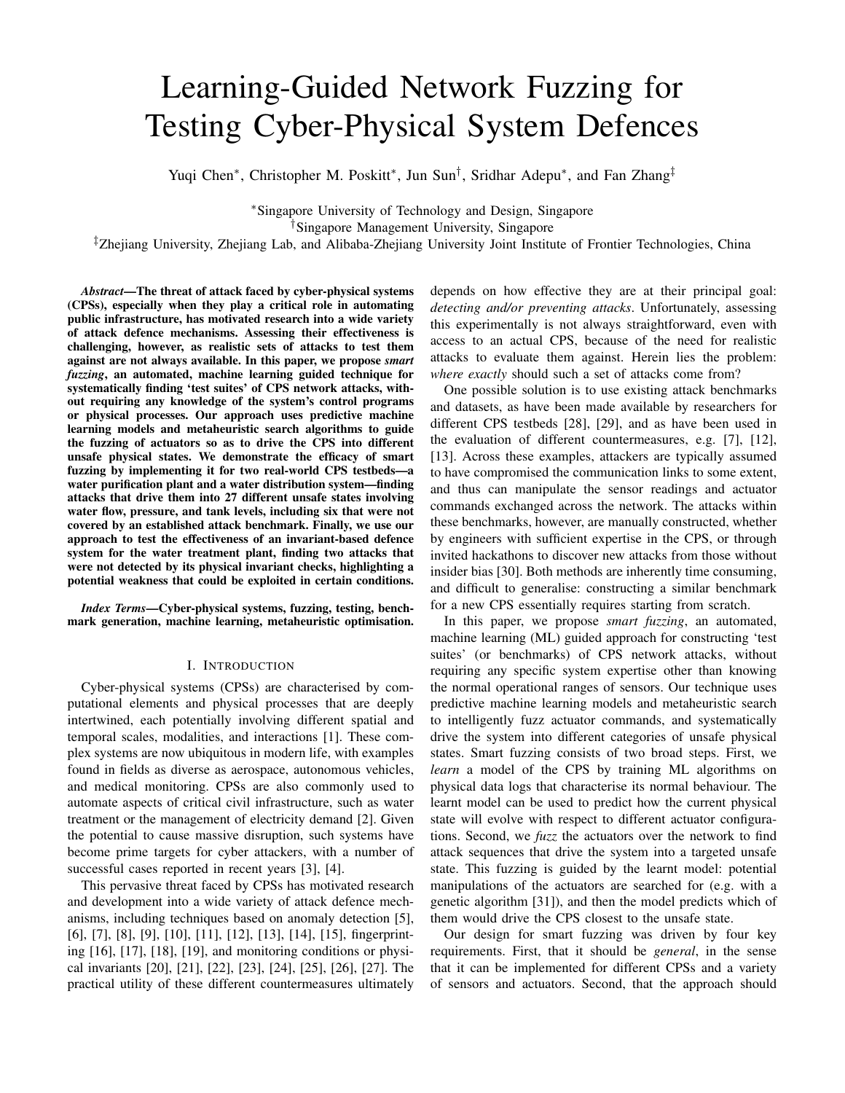# Learning-Guided Network Fuzzing for Testing Cyber-Physical System Defences

Yuqi Chen<sup>∗</sup>, Christopher M. Poskitt<sup>∗</sup>, Jun Sun<sup>†</sup>, Sridhar Adepu<sup>∗</sup>, and Fan Zhang<sup>‡</sup>

<sup>∗</sup>Singapore University of Technology and Design, Singapore †Singapore Management University, Singapore

‡Zhejiang University, Zhejiang Lab, and Alibaba-Zhejiang University Joint Institute of Frontier Technologies, China

*Abstract*—The threat of attack faced by cyber-physical systems (CPSs), especially when they play a critical role in automating public infrastructure, has motivated research into a wide variety of attack defence mechanisms. Assessing their effectiveness is challenging, however, as realistic sets of attacks to test them against are not always available. In this paper, we propose *smart fuzzing*, an automated, machine learning guided technique for systematically finding 'test suites' of CPS network attacks, without requiring any knowledge of the system's control programs or physical processes. Our approach uses predictive machine learning models and metaheuristic search algorithms to guide the fuzzing of actuators so as to drive the CPS into different unsafe physical states. We demonstrate the efficacy of smart fuzzing by implementing it for two real-world CPS testbeds—a water purification plant and a water distribution system—finding attacks that drive them into 27 different unsafe states involving water flow, pressure, and tank levels, including six that were not covered by an established attack benchmark. Finally, we use our approach to test the effectiveness of an invariant-based defence system for the water treatment plant, finding two attacks that were not detected by its physical invariant checks, highlighting a potential weakness that could be exploited in certain conditions.

*Index Terms*—Cyber-physical systems, fuzzing, testing, benchmark generation, machine learning, metaheuristic optimisation.

## I. INTRODUCTION

Cyber-physical systems (CPSs) are characterised by computational elements and physical processes that are deeply intertwined, each potentially involving different spatial and temporal scales, modalities, and interactions [1]. These complex systems are now ubiquitous in modern life, with examples found in fields as diverse as aerospace, autonomous vehicles, and medical monitoring. CPSs are also commonly used to automate aspects of critical civil infrastructure, such as water treatment or the management of electricity demand [2]. Given the potential to cause massive disruption, such systems have become prime targets for cyber attackers, with a number of successful cases reported in recent years [3], [4].

This pervasive threat faced by CPSs has motivated research and development into a wide variety of attack defence mechanisms, including techniques based on anomaly detection [5], [6], [7], [8], [9], [10], [11], [12], [13], [14], [15], fingerprinting [16], [17], [18], [19], and monitoring conditions or physical invariants [20], [21], [22], [23], [24], [25], [26], [27]. The practical utility of these different countermeasures ultimately depends on how effective they are at their principal goal: *detecting and/or preventing attacks*. Unfortunately, assessing this experimentally is not always straightforward, even with access to an actual CPS, because of the need for realistic attacks to evaluate them against. Herein lies the problem: *where exactly* should such a set of attacks come from?

One possible solution is to use existing attack benchmarks and datasets, as have been made available by researchers for different CPS testbeds [28], [29], and as have been used in the evaluation of different countermeasures, e.g. [7], [12], [13]. Across these examples, attackers are typically assumed to have compromised the communication links to some extent, and thus can manipulate the sensor readings and actuator commands exchanged across the network. The attacks within these benchmarks, however, are manually constructed, whether by engineers with sufficient expertise in the CPS, or through invited hackathons to discover new attacks from those without insider bias [30]. Both methods are inherently time consuming, and difficult to generalise: constructing a similar benchmark for a new CPS essentially requires starting from scratch.

In this paper, we propose *smart fuzzing*, an automated, machine learning (ML) guided approach for constructing 'test suites' (or benchmarks) of CPS network attacks, without requiring any specific system expertise other than knowing the normal operational ranges of sensors. Our technique uses predictive machine learning models and metaheuristic search to intelligently fuzz actuator commands, and systematically drive the system into different categories of unsafe physical states. Smart fuzzing consists of two broad steps. First, we *learn* a model of the CPS by training ML algorithms on physical data logs that characterise its normal behaviour. The learnt model can be used to predict how the current physical state will evolve with respect to different actuator configurations. Second, we *fuzz* the actuators over the network to find attack sequences that drive the system into a targeted unsafe state. This fuzzing is guided by the learnt model: potential manipulations of the actuators are searched for (e.g. with a genetic algorithm [31]), and then the model predicts which of them would drive the CPS closest to the unsafe state.

Our design for smart fuzzing was driven by four key requirements. First, that it should be *general*, in the sense that it can be implemented for different CPSs and a variety of sensors and actuators. Second, that the approach should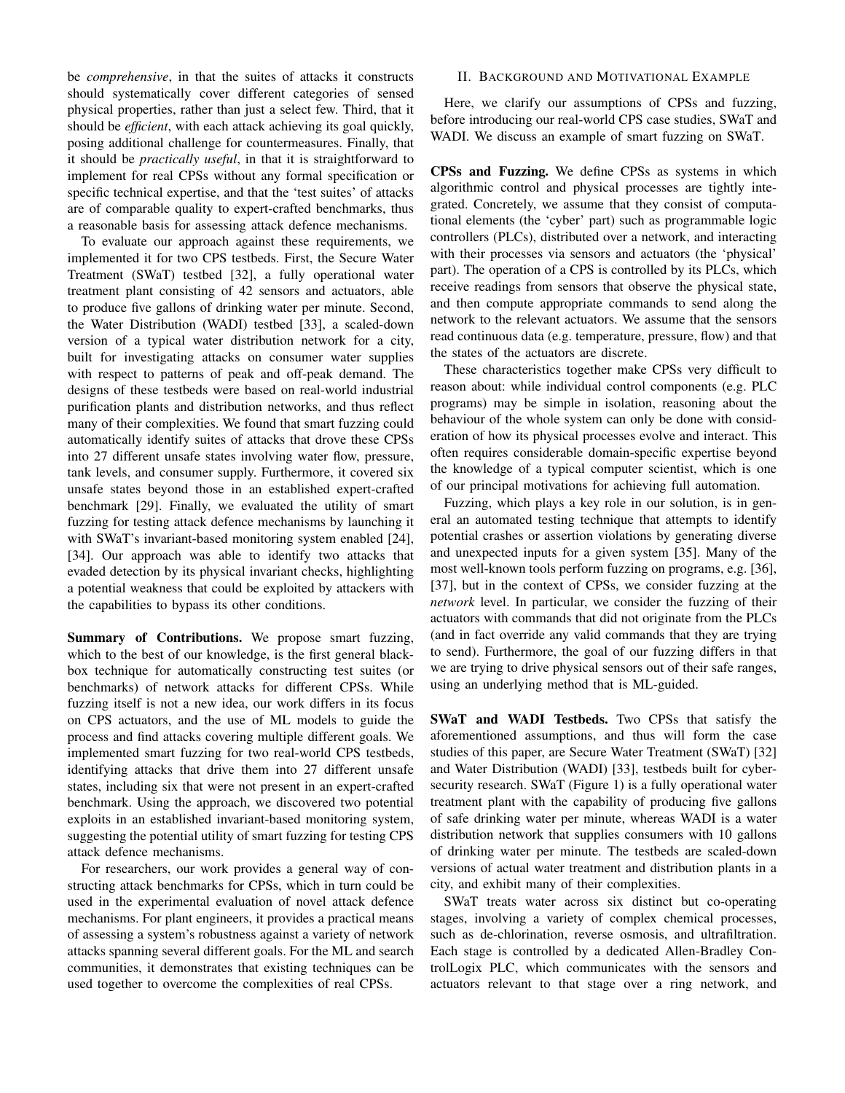be *comprehensive*, in that the suites of attacks it constructs should systematically cover different categories of sensed physical properties, rather than just a select few. Third, that it should be *efficient*, with each attack achieving its goal quickly, posing additional challenge for countermeasures. Finally, that it should be *practically useful*, in that it is straightforward to implement for real CPSs without any formal specification or specific technical expertise, and that the 'test suites' of attacks are of comparable quality to expert-crafted benchmarks, thus a reasonable basis for assessing attack defence mechanisms.

To evaluate our approach against these requirements, we implemented it for two CPS testbeds. First, the Secure Water Treatment (SWaT) testbed [32], a fully operational water treatment plant consisting of 42 sensors and actuators, able to produce five gallons of drinking water per minute. Second, the Water Distribution (WADI) testbed [33], a scaled-down version of a typical water distribution network for a city, built for investigating attacks on consumer water supplies with respect to patterns of peak and off-peak demand. The designs of these testbeds were based on real-world industrial purification plants and distribution networks, and thus reflect many of their complexities. We found that smart fuzzing could automatically identify suites of attacks that drove these CPSs into 27 different unsafe states involving water flow, pressure, tank levels, and consumer supply. Furthermore, it covered six unsafe states beyond those in an established expert-crafted benchmark [29]. Finally, we evaluated the utility of smart fuzzing for testing attack defence mechanisms by launching it with SWaT's invariant-based monitoring system enabled [24], [34]. Our approach was able to identify two attacks that evaded detection by its physical invariant checks, highlighting a potential weakness that could be exploited by attackers with the capabilities to bypass its other conditions.

Summary of Contributions. We propose smart fuzzing, which to the best of our knowledge, is the first general blackbox technique for automatically constructing test suites (or benchmarks) of network attacks for different CPSs. While fuzzing itself is not a new idea, our work differs in its focus on CPS actuators, and the use of ML models to guide the process and find attacks covering multiple different goals. We implemented smart fuzzing for two real-world CPS testbeds, identifying attacks that drive them into 27 different unsafe states, including six that were not present in an expert-crafted benchmark. Using the approach, we discovered two potential exploits in an established invariant-based monitoring system, suggesting the potential utility of smart fuzzing for testing CPS attack defence mechanisms.

For researchers, our work provides a general way of constructing attack benchmarks for CPSs, which in turn could be used in the experimental evaluation of novel attack defence mechanisms. For plant engineers, it provides a practical means of assessing a system's robustness against a variety of network attacks spanning several different goals. For the ML and search communities, it demonstrates that existing techniques can be used together to overcome the complexities of real CPSs.

## II. BACKGROUND AND MOTIVATIONAL EXAMPLE

Here, we clarify our assumptions of CPSs and fuzzing, before introducing our real-world CPS case studies, SWaT and WADI. We discuss an example of smart fuzzing on SWaT.

CPSs and Fuzzing. We define CPSs as systems in which algorithmic control and physical processes are tightly integrated. Concretely, we assume that they consist of computational elements (the 'cyber' part) such as programmable logic controllers (PLCs), distributed over a network, and interacting with their processes via sensors and actuators (the 'physical' part). The operation of a CPS is controlled by its PLCs, which receive readings from sensors that observe the physical state, and then compute appropriate commands to send along the network to the relevant actuators. We assume that the sensors read continuous data (e.g. temperature, pressure, flow) and that the states of the actuators are discrete.

These characteristics together make CPSs very difficult to reason about: while individual control components (e.g. PLC programs) may be simple in isolation, reasoning about the behaviour of the whole system can only be done with consideration of how its physical processes evolve and interact. This often requires considerable domain-specific expertise beyond the knowledge of a typical computer scientist, which is one of our principal motivations for achieving full automation.

Fuzzing, which plays a key role in our solution, is in general an automated testing technique that attempts to identify potential crashes or assertion violations by generating diverse and unexpected inputs for a given system [35]. Many of the most well-known tools perform fuzzing on programs, e.g. [36], [37], but in the context of CPSs, we consider fuzzing at the *network* level. In particular, we consider the fuzzing of their actuators with commands that did not originate from the PLCs (and in fact override any valid commands that they are trying to send). Furthermore, the goal of our fuzzing differs in that we are trying to drive physical sensors out of their safe ranges, using an underlying method that is ML-guided.

SWaT and WADI Testbeds. Two CPSs that satisfy the aforementioned assumptions, and thus will form the case studies of this paper, are Secure Water Treatment (SWaT) [32] and Water Distribution (WADI) [33], testbeds built for cybersecurity research. SWaT (Figure 1) is a fully operational water treatment plant with the capability of producing five gallons of safe drinking water per minute, whereas WADI is a water distribution network that supplies consumers with 10 gallons of drinking water per minute. The testbeds are scaled-down versions of actual water treatment and distribution plants in a city, and exhibit many of their complexities.

SWaT treats water across six distinct but co-operating stages, involving a variety of complex chemical processes, such as de-chlorination, reverse osmosis, and ultrafiltration. Each stage is controlled by a dedicated Allen-Bradley ControlLogix PLC, which communicates with the sensors and actuators relevant to that stage over a ring network, and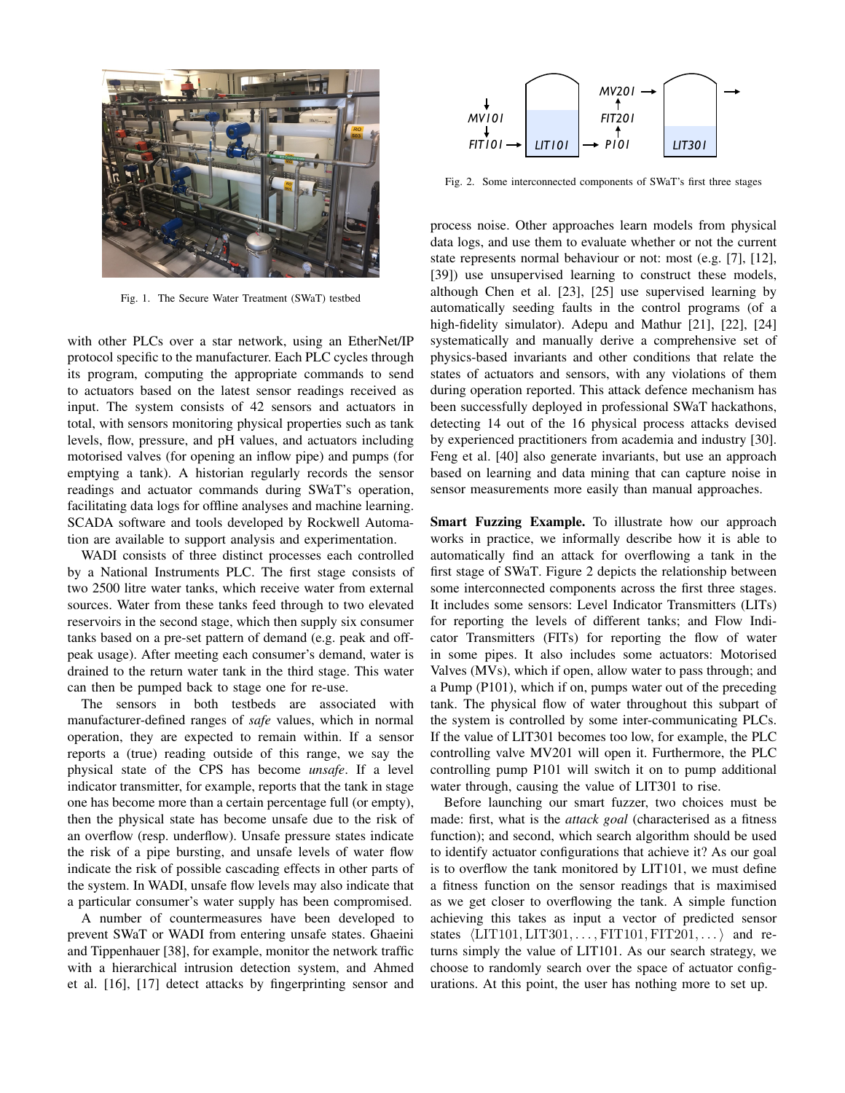

Fig. 1. The Secure Water Treatment (SWaT) testbed

with other PLCs over a star network, using an EtherNet/IP protocol specific to the manufacturer. Each PLC cycles through its program, computing the appropriate commands to send to actuators based on the latest sensor readings received as input. The system consists of 42 sensors and actuators in total, with sensors monitoring physical properties such as tank levels, flow, pressure, and pH values, and actuators including motorised valves (for opening an inflow pipe) and pumps (for emptying a tank). A historian regularly records the sensor readings and actuator commands during SWaT's operation, facilitating data logs for offline analyses and machine learning. SCADA software and tools developed by Rockwell Automation are available to support analysis and experimentation.

WADI consists of three distinct processes each controlled by a National Instruments PLC. The first stage consists of two 2500 litre water tanks, which receive water from external sources. Water from these tanks feed through to two elevated reservoirs in the second stage, which then supply six consumer tanks based on a pre-set pattern of demand (e.g. peak and offpeak usage). After meeting each consumer's demand, water is drained to the return water tank in the third stage. This water can then be pumped back to stage one for re-use.

The sensors in both testbeds are associated with manufacturer-defined ranges of *safe* values, which in normal operation, they are expected to remain within. If a sensor reports a (true) reading outside of this range, we say the physical state of the CPS has become *unsafe*. If a level indicator transmitter, for example, reports that the tank in stage one has become more than a certain percentage full (or empty), then the physical state has become unsafe due to the risk of an overflow (resp. underflow). Unsafe pressure states indicate the risk of a pipe bursting, and unsafe levels of water flow indicate the risk of possible cascading effects in other parts of the system. In WADI, unsafe flow levels may also indicate that a particular consumer's water supply has been compromised.

A number of countermeasures have been developed to prevent SWaT or WADI from entering unsafe states. Ghaeini and Tippenhauer [38], for example, monitor the network traffic with a hierarchical intrusion detection system, and Ahmed et al. [16], [17] detect attacks by fingerprinting sensor and



Fig. 2. Some interconnected components of SWaT's first three stages

process noise. Other approaches learn models from physical data logs, and use them to evaluate whether or not the current state represents normal behaviour or not: most (e.g. [7], [12], [39]) use unsupervised learning to construct these models, although Chen et al. [23], [25] use supervised learning by automatically seeding faults in the control programs (of a high-fidelity simulator). Adepu and Mathur [21], [22], [24] systematically and manually derive a comprehensive set of physics-based invariants and other conditions that relate the states of actuators and sensors, with any violations of them during operation reported. This attack defence mechanism has been successfully deployed in professional SWaT hackathons, detecting 14 out of the 16 physical process attacks devised by experienced practitioners from academia and industry [30]. Feng et al. [40] also generate invariants, but use an approach based on learning and data mining that can capture noise in sensor measurements more easily than manual approaches.

Smart Fuzzing Example. To illustrate how our approach works in practice, we informally describe how it is able to automatically find an attack for overflowing a tank in the first stage of SWaT. Figure 2 depicts the relationship between some interconnected components across the first three stages. It includes some sensors: Level Indicator Transmitters (LITs) for reporting the levels of different tanks; and Flow Indicator Transmitters (FITs) for reporting the flow of water in some pipes. It also includes some actuators: Motorised Valves (MVs), which if open, allow water to pass through; and a Pump (P101), which if on, pumps water out of the preceding tank. The physical flow of water throughout this subpart of the system is controlled by some inter-communicating PLCs. If the value of LIT301 becomes too low, for example, the PLC controlling valve MV201 will open it. Furthermore, the PLC controlling pump P101 will switch it on to pump additional water through, causing the value of LIT301 to rise.

Before launching our smart fuzzer, two choices must be made: first, what is the *attack goal* (characterised as a fitness function); and second, which search algorithm should be used to identify actuator configurations that achieve it? As our goal is to overflow the tank monitored by LIT101, we must define a fitness function on the sensor readings that is maximised as we get closer to overflowing the tank. A simple function achieving this takes as input a vector of predicted sensor states  $\langle \text{LIT101}, \text{LIT301}, \ldots, \text{FIT101}, \text{FIT201}, \ldots \rangle$  and returns simply the value of LIT101. As our search strategy, we choose to randomly search over the space of actuator configurations. At this point, the user has nothing more to set up.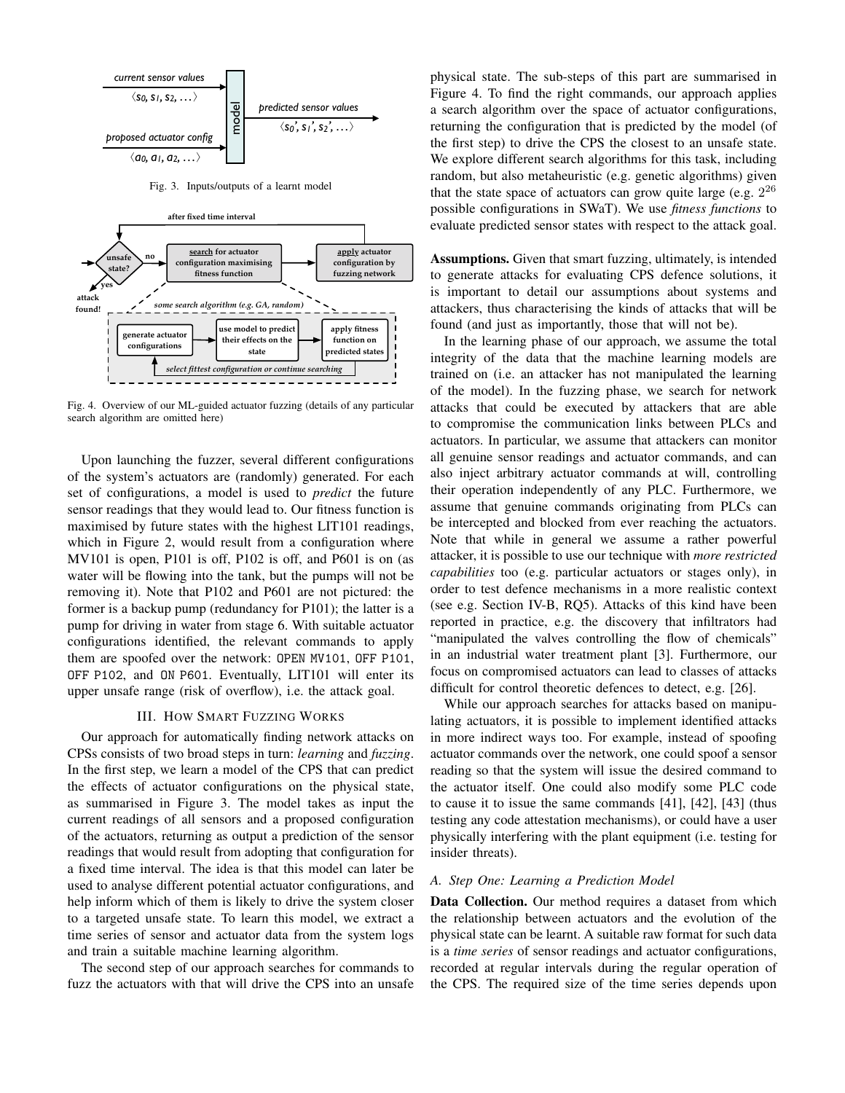

Fig. 3. Inputs/outputs of a learnt model



Fig. 4. Overview of our ML-guided actuator fuzzing (details of any particular search algorithm are omitted here)

Upon launching the fuzzer, several different configurations of the system's actuators are (randomly) generated. For each set of configurations, a model is used to *predict* the future sensor readings that they would lead to. Our fitness function is maximised by future states with the highest LIT101 readings, which in Figure 2, would result from a configuration where MV101 is open, P101 is off, P102 is off, and P601 is on (as water will be flowing into the tank, but the pumps will not be removing it). Note that P102 and P601 are not pictured: the former is a backup pump (redundancy for P101); the latter is a pump for driving in water from stage 6. With suitable actuator configurations identified, the relevant commands to apply them are spoofed over the network: OPEN MV101, OFF P101, OFF P102, and ON P601. Eventually, LIT101 will enter its upper unsafe range (risk of overflow), i.e. the attack goal.

#### III. HOW SMART FUZZING WORKS

Our approach for automatically finding network attacks on CPSs consists of two broad steps in turn: *learning* and *fuzzing*. In the first step, we learn a model of the CPS that can predict the effects of actuator configurations on the physical state, as summarised in Figure 3. The model takes as input the current readings of all sensors and a proposed configuration of the actuators, returning as output a prediction of the sensor readings that would result from adopting that configuration for a fixed time interval. The idea is that this model can later be used to analyse different potential actuator configurations, and help inform which of them is likely to drive the system closer to a targeted unsafe state. To learn this model, we extract a time series of sensor and actuator data from the system logs and train a suitable machine learning algorithm.

The second step of our approach searches for commands to fuzz the actuators with that will drive the CPS into an unsafe physical state. The sub-steps of this part are summarised in Figure 4. To find the right commands, our approach applies a search algorithm over the space of actuator configurations, returning the configuration that is predicted by the model (of the first step) to drive the CPS the closest to an unsafe state. We explore different search algorithms for this task, including random, but also metaheuristic (e.g. genetic algorithms) given that the state space of actuators can grow quite large (e.g.  $2^{26}$ possible configurations in SWaT). We use *fitness functions* to evaluate predicted sensor states with respect to the attack goal.

Assumptions. Given that smart fuzzing, ultimately, is intended to generate attacks for evaluating CPS defence solutions, it is important to detail our assumptions about systems and attackers, thus characterising the kinds of attacks that will be found (and just as importantly, those that will not be).

In the learning phase of our approach, we assume the total integrity of the data that the machine learning models are trained on (i.e. an attacker has not manipulated the learning of the model). In the fuzzing phase, we search for network attacks that could be executed by attackers that are able to compromise the communication links between PLCs and actuators. In particular, we assume that attackers can monitor all genuine sensor readings and actuator commands, and can also inject arbitrary actuator commands at will, controlling their operation independently of any PLC. Furthermore, we assume that genuine commands originating from PLCs can be intercepted and blocked from ever reaching the actuators. Note that while in general we assume a rather powerful attacker, it is possible to use our technique with *more restricted capabilities* too (e.g. particular actuators or stages only), in order to test defence mechanisms in a more realistic context (see e.g. Section IV-B, RQ5). Attacks of this kind have been reported in practice, e.g. the discovery that infiltrators had "manipulated the valves controlling the flow of chemicals" in an industrial water treatment plant [3]. Furthermore, our focus on compromised actuators can lead to classes of attacks difficult for control theoretic defences to detect, e.g. [26].

While our approach searches for attacks based on manipulating actuators, it is possible to implement identified attacks in more indirect ways too. For example, instead of spoofing actuator commands over the network, one could spoof a sensor reading so that the system will issue the desired command to the actuator itself. One could also modify some PLC code to cause it to issue the same commands [41], [42], [43] (thus testing any code attestation mechanisms), or could have a user physically interfering with the plant equipment (i.e. testing for insider threats).

#### *A. Step One: Learning a Prediction Model*

Data Collection. Our method requires a dataset from which the relationship between actuators and the evolution of the physical state can be learnt. A suitable raw format for such data is a *time series* of sensor readings and actuator configurations, recorded at regular intervals during the regular operation of the CPS. The required size of the time series depends upon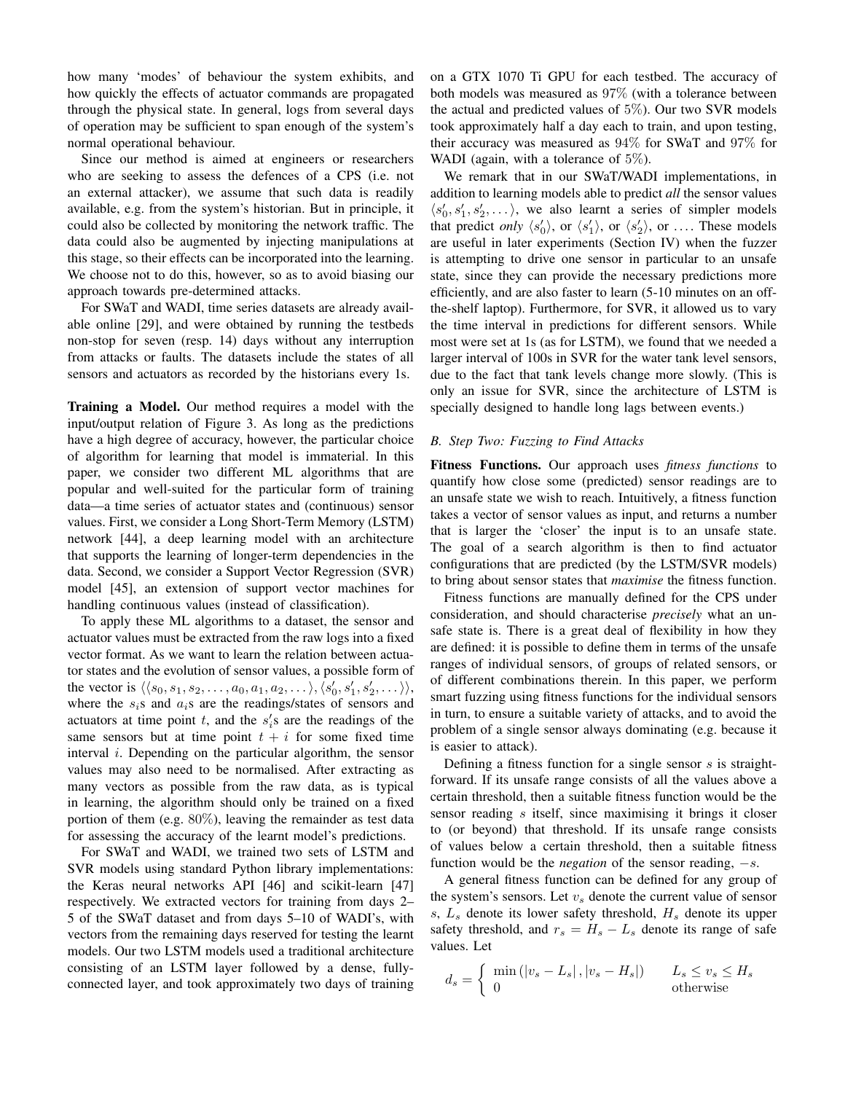how many 'modes' of behaviour the system exhibits, and how quickly the effects of actuator commands are propagated through the physical state. In general, logs from several days of operation may be sufficient to span enough of the system's normal operational behaviour.

Since our method is aimed at engineers or researchers who are seeking to assess the defences of a CPS (i.e. not an external attacker), we assume that such data is readily available, e.g. from the system's historian. But in principle, it could also be collected by monitoring the network traffic. The data could also be augmented by injecting manipulations at this stage, so their effects can be incorporated into the learning. We choose not to do this, however, so as to avoid biasing our approach towards pre-determined attacks.

For SWaT and WADI, time series datasets are already available online [29], and were obtained by running the testbeds non-stop for seven (resp. 14) days without any interruption from attacks or faults. The datasets include the states of all sensors and actuators as recorded by the historians every 1s.

Training a Model. Our method requires a model with the input/output relation of Figure 3. As long as the predictions have a high degree of accuracy, however, the particular choice of algorithm for learning that model is immaterial. In this paper, we consider two different ML algorithms that are popular and well-suited for the particular form of training data—a time series of actuator states and (continuous) sensor values. First, we consider a Long Short-Term Memory (LSTM) network [44], a deep learning model with an architecture that supports the learning of longer-term dependencies in the data. Second, we consider a Support Vector Regression (SVR) model [45], an extension of support vector machines for handling continuous values (instead of classification).

To apply these ML algorithms to a dataset, the sensor and actuator values must be extracted from the raw logs into a fixed vector format. As we want to learn the relation between actuator states and the evolution of sensor values, a possible form of the vector is  $\langle \langle s_0, s_1, s_2, \dots, a_0, a_1, a_2, \dots \rangle, \langle s'_0, s'_1, s'_2, \dots \rangle$ , where the  $s_i$ s and  $a_i$ s are the readings/states of sensors and actuators at time point  $t$ , and the  $s_i$ 's are the readings of the same sensors but at time point  $t + i$  for some fixed time interval *i*. Depending on the particular algorithm, the sensor values may also need to be normalised. After extracting as many vectors as possible from the raw data, as is typical in learning, the algorithm should only be trained on a fixed portion of them (e.g. 80%), leaving the remainder as test data for assessing the accuracy of the learnt model's predictions.

For SWaT and WADI, we trained two sets of LSTM and SVR models using standard Python library implementations: the Keras neural networks API [46] and scikit-learn [47] respectively. We extracted vectors for training from days 2– 5 of the SWaT dataset and from days 5–10 of WADI's, with vectors from the remaining days reserved for testing the learnt models. Our two LSTM models used a traditional architecture consisting of an LSTM layer followed by a dense, fullyconnected layer, and took approximately two days of training on a GTX 1070 Ti GPU for each testbed. The accuracy of both models was measured as 97% (with a tolerance between the actual and predicted values of  $5\%$ ). Our two SVR models took approximately half a day each to train, and upon testing, their accuracy was measured as 94% for SWaT and 97% for WADI (again, with a tolerance of  $5\%$ ).

We remark that in our SWaT/WADI implementations, in addition to learning models able to predict *all* the sensor values  $\langle s'_0, s'_1, s'_2, \dots \rangle$ , we also learnt a series of simpler models that predict *only*  $\langle s'_0 \rangle$ , or  $\langle s'_1 \rangle$ , or  $\langle s'_2 \rangle$ , or .... These models are useful in later experiments (Section IV) when the fuzzer is attempting to drive one sensor in particular to an unsafe state, since they can provide the necessary predictions more efficiently, and are also faster to learn (5-10 minutes on an offthe-shelf laptop). Furthermore, for SVR, it allowed us to vary the time interval in predictions for different sensors. While most were set at 1s (as for LSTM), we found that we needed a larger interval of 100s in SVR for the water tank level sensors, due to the fact that tank levels change more slowly. (This is only an issue for SVR, since the architecture of LSTM is specially designed to handle long lags between events.)

### *B. Step Two: Fuzzing to Find Attacks*

Fitness Functions. Our approach uses *fitness functions* to quantify how close some (predicted) sensor readings are to an unsafe state we wish to reach. Intuitively, a fitness function takes a vector of sensor values as input, and returns a number that is larger the 'closer' the input is to an unsafe state. The goal of a search algorithm is then to find actuator configurations that are predicted (by the LSTM/SVR models) to bring about sensor states that *maximise* the fitness function.

Fitness functions are manually defined for the CPS under consideration, and should characterise *precisely* what an unsafe state is. There is a great deal of flexibility in how they are defined: it is possible to define them in terms of the unsafe ranges of individual sensors, of groups of related sensors, or of different combinations therein. In this paper, we perform smart fuzzing using fitness functions for the individual sensors in turn, to ensure a suitable variety of attacks, and to avoid the problem of a single sensor always dominating (e.g. because it is easier to attack).

Defining a fitness function for a single sensor  $s$  is straightforward. If its unsafe range consists of all the values above a certain threshold, then a suitable fitness function would be the sensor reading s itself, since maximising it brings it closer to (or beyond) that threshold. If its unsafe range consists of values below a certain threshold, then a suitable fitness function would be the *negation* of the sensor reading, −s.

A general fitness function can be defined for any group of the system's sensors. Let  $v<sub>s</sub>$  denote the current value of sensor s,  $L<sub>s</sub>$  denote its lower safety threshold,  $H<sub>s</sub>$  denote its upper safety threshold, and  $r_s = H_s - L_s$  denote its range of safe values. Let

$$
d_s = \begin{cases} \min\left( |v_s - L_s|, |v_s - H_s| \right) & L_s \le v_s \le H_s \\ 0 & \text{otherwise} \end{cases}
$$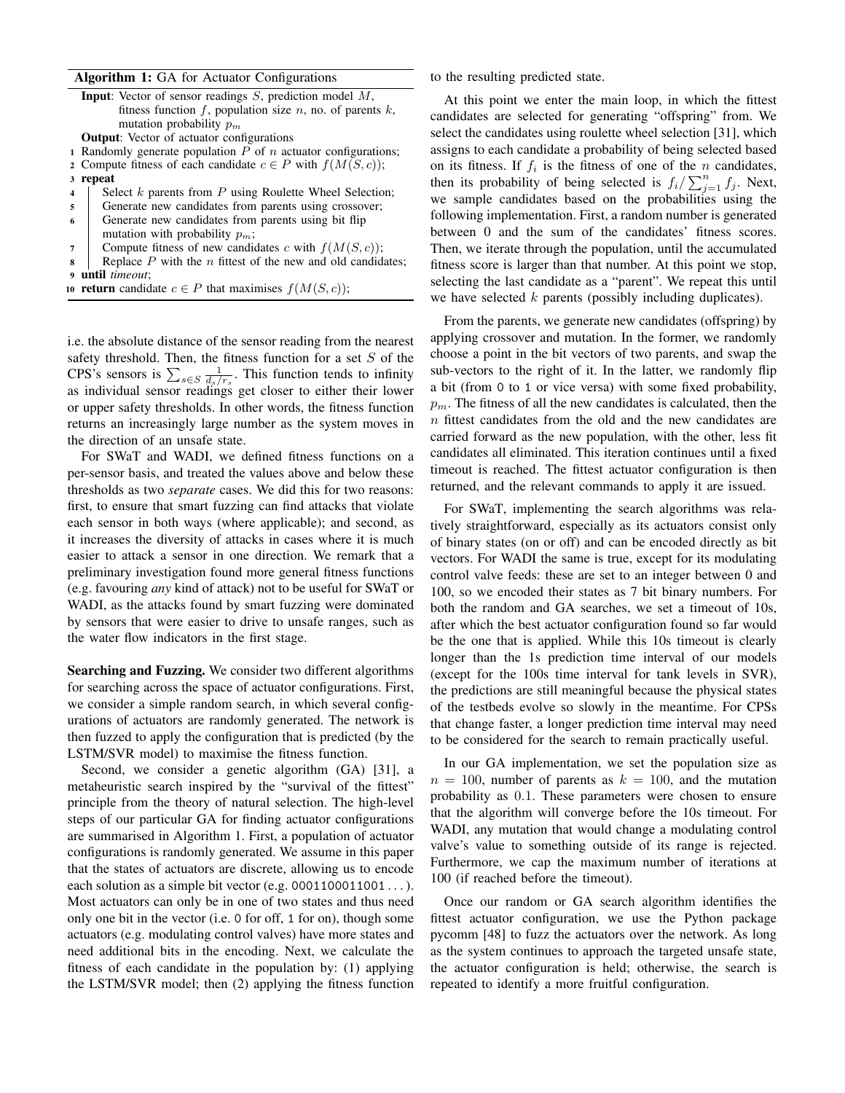## Algorithm 1: GA for Actuator Configurations

|                         | <b>Input:</b> Vector of sensor readings $S$ , prediction model $M$ , |
|-------------------------|----------------------------------------------------------------------|
|                         | fitness function f, population size n, no. of parents k,             |
|                         | mutation probability $p_m$                                           |
|                         | <b>Output:</b> Vector of actuator configurations                     |
|                         | 1 Randomly generate population $P$ of $n$ actuator configurations;   |
|                         | 2 Compute fitness of each candidate $c \in P$ with $f(M(S, c))$ ;    |
|                         | 3 repeat                                                             |
| $\overline{\mathbf{4}}$ | Select $k$ parents from $P$ using Roulette Wheel Selection;          |
| 5                       | Generate new candidates from parents using crossover;                |
| -6                      | Generate new candidates from parents using bit flip                  |
|                         | mutation with probability $p_m$ ;                                    |
|                         | Compute fitness of new candidates c with $f(M(S, c))$ ;              |
| 8                       | Replace $P$ with the $n$ fittest of the new and old candidates;      |

<sup>9</sup> until *timeout*;

|  |  |  |  |  |  | <b>10 return</b> candidate $c \in P$ that maximises $f(M(S, c))$ ; |  |  |  |  |  |  |
|--|--|--|--|--|--|--------------------------------------------------------------------|--|--|--|--|--|--|
|--|--|--|--|--|--|--------------------------------------------------------------------|--|--|--|--|--|--|

i.e. the absolute distance of the sensor reading from the nearest safety threshold. Then, the fitness function for a set  $S$  of the CPS's sensors is  $\sum_{s \in S} \frac{1}{d_s/r_s}$ . This function tends to infinity as individual sensor readings get closer to either their lower or upper safety thresholds. In other words, the fitness function returns an increasingly large number as the system moves in the direction of an unsafe state.

For SWaT and WADI, we defined fitness functions on a per-sensor basis, and treated the values above and below these thresholds as two *separate* cases. We did this for two reasons: first, to ensure that smart fuzzing can find attacks that violate each sensor in both ways (where applicable); and second, as it increases the diversity of attacks in cases where it is much easier to attack a sensor in one direction. We remark that a preliminary investigation found more general fitness functions (e.g. favouring *any* kind of attack) not to be useful for SWaT or WADI, as the attacks found by smart fuzzing were dominated by sensors that were easier to drive to unsafe ranges, such as the water flow indicators in the first stage.

Searching and Fuzzing. We consider two different algorithms for searching across the space of actuator configurations. First, we consider a simple random search, in which several configurations of actuators are randomly generated. The network is then fuzzed to apply the configuration that is predicted (by the LSTM/SVR model) to maximise the fitness function.

Second, we consider a genetic algorithm (GA) [31], a metaheuristic search inspired by the "survival of the fittest" principle from the theory of natural selection. The high-level steps of our particular GA for finding actuator configurations are summarised in Algorithm 1. First, a population of actuator configurations is randomly generated. We assume in this paper that the states of actuators are discrete, allowing us to encode each solution as a simple bit vector (e.g.  $0001100011001...$ ). Most actuators can only be in one of two states and thus need only one bit in the vector (i.e. 0 for off, 1 for on), though some actuators (e.g. modulating control valves) have more states and need additional bits in the encoding. Next, we calculate the fitness of each candidate in the population by: (1) applying the LSTM/SVR model; then (2) applying the fitness function to the resulting predicted state.

At this point we enter the main loop, in which the fittest candidates are selected for generating "offspring" from. We select the candidates using roulette wheel selection [31], which assigns to each candidate a probability of being selected based on its fitness. If  $f_i$  is the fitness of one of the n candidates, then its probability of being selected is  $f_i / \sum_{j=1}^n f_j$ . Next, we sample candidates based on the probabilities using the following implementation. First, a random number is generated between 0 and the sum of the candidates' fitness scores. Then, we iterate through the population, until the accumulated fitness score is larger than that number. At this point we stop, selecting the last candidate as a "parent". We repeat this until we have selected  $k$  parents (possibly including duplicates).

From the parents, we generate new candidates (offspring) by applying crossover and mutation. In the former, we randomly choose a point in the bit vectors of two parents, and swap the sub-vectors to the right of it. In the latter, we randomly flip a bit (from 0 to 1 or vice versa) with some fixed probability,  $p_m$ . The fitness of all the new candidates is calculated, then the n fittest candidates from the old and the new candidates are carried forward as the new population, with the other, less fit candidates all eliminated. This iteration continues until a fixed timeout is reached. The fittest actuator configuration is then returned, and the relevant commands to apply it are issued.

For SWaT, implementing the search algorithms was relatively straightforward, especially as its actuators consist only of binary states (on or off) and can be encoded directly as bit vectors. For WADI the same is true, except for its modulating control valve feeds: these are set to an integer between 0 and 100, so we encoded their states as 7 bit binary numbers. For both the random and GA searches, we set a timeout of 10s, after which the best actuator configuration found so far would be the one that is applied. While this 10s timeout is clearly longer than the 1s prediction time interval of our models (except for the 100s time interval for tank levels in SVR), the predictions are still meaningful because the physical states of the testbeds evolve so slowly in the meantime. For CPSs that change faster, a longer prediction time interval may need to be considered for the search to remain practically useful.

In our GA implementation, we set the population size as  $n = 100$ , number of parents as  $k = 100$ , and the mutation probability as 0.1. These parameters were chosen to ensure that the algorithm will converge before the 10s timeout. For WADI, any mutation that would change a modulating control valve's value to something outside of its range is rejected. Furthermore, we cap the maximum number of iterations at 100 (if reached before the timeout).

Once our random or GA search algorithm identifies the fittest actuator configuration, we use the Python package pycomm [48] to fuzz the actuators over the network. As long as the system continues to approach the targeted unsafe state, the actuator configuration is held; otherwise, the search is repeated to identify a more fruitful configuration.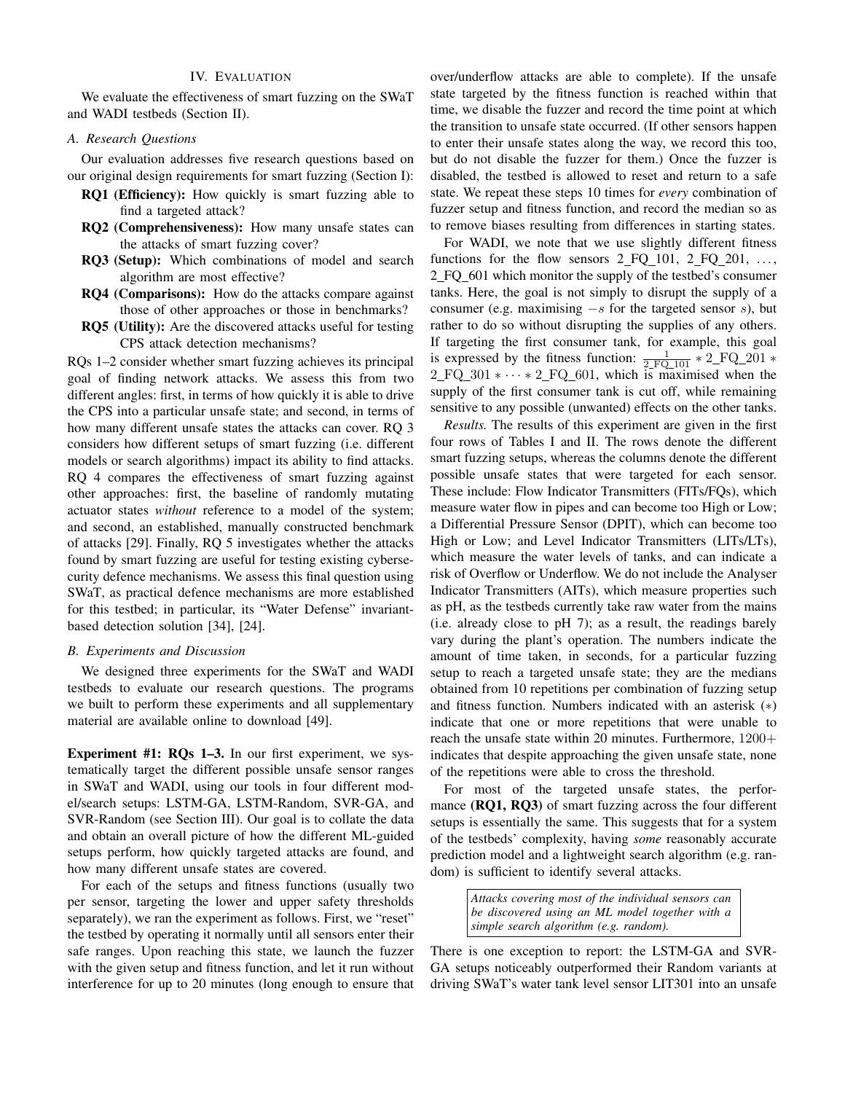## IV. EVALUATION

We evaluate the effectiveness of smart fuzzing on the SWaT and WADI testbeds (Section II).

## *A. Research Questions*

Our evaluation addresses five research questions based on our original design requirements for smart fuzzing (Section I):

- RQ1 (Efficiency): How quickly is smart fuzzing able to find a targeted attack?
- RQ2 (Comprehensiveness): How many unsafe states can the attacks of smart fuzzing cover?
- RQ3 (Setup): Which combinations of model and search algorithm are most effective?
- RQ4 (Comparisons): How do the attacks compare against those of other approaches or those in benchmarks?
- RQ5 (Utility): Are the discovered attacks useful for testing CPS attack detection mechanisms?

RQs 1–2 consider whether smart fuzzing achieves its principal goal of finding network attacks. We assess this from two different angles: first, in terms of how quickly it is able to drive the CPS into a particular unsafe state; and second, in terms of how many different unsafe states the attacks can cover. RQ 3 considers how different setups of smart fuzzing (i.e. different models or search algorithms) impact its ability to find attacks. RQ 4 compares the effectiveness of smart fuzzing against other approaches: first, the baseline of randomly mutating actuator states *without* reference to a model of the system; and second, an established, manually constructed benchmark of attacks [29]. Finally, RQ 5 investigates whether the attacks found by smart fuzzing are useful for testing existing cybersecurity defence mechanisms. We assess this final question using SWaT, as practical defence mechanisms are more established for this testbed; in particular, its "Water Defense" invariantbased detection solution [34], [24].

## *B. Experiments and Discussion*

We designed three experiments for the SWaT and WADI testbeds to evaluate our research questions. The programs we built to perform these experiments and all supplementary material are available online to download [49].

Experiment #1: RQs 1–3. In our first experiment, we systematically target the different possible unsafe sensor ranges in SWaT and WADI, using our tools in four different model/search setups: LSTM-GA, LSTM-Random, SVR-GA, and SVR-Random (see Section III). Our goal is to collate the data and obtain an overall picture of how the different ML-guided setups perform, how quickly targeted attacks are found, and how many different unsafe states are covered.

For each of the setups and fitness functions (usually two per sensor, targeting the lower and upper safety thresholds separately), we ran the experiment as follows. First, we "reset" the testbed by operating it normally until all sensors enter their safe ranges. Upon reaching this state, we launch the fuzzer with the given setup and fitness function, and let it run without interference for up to 20 minutes (long enough to ensure that

over/underflow attacks are able to complete). If the unsafe state targeted by the fitness function is reached within that time, we disable the fuzzer and record the time point at which the transition to unsafe state occurred. (If other sensors happen to enter their unsafe states along the way, we record this too, but do not disable the fuzzer for them.) Once the fuzzer is disabled, the testbed is allowed to reset and return to a safe state. We repeat these steps 10 times for *every* combination of fuzzer setup and fitness function, and record the median so as to remove biases resulting from differences in starting states.

For WADI, we note that we use slightly different fitness functions for the flow sensors  $2$  FQ 101,  $2$  FQ 201, ... 2 FQ 601 which monitor the supply of the testbed's consumer tanks. Here, the goal is not simply to disrupt the supply of a consumer (e.g. maximising  $-s$  for the targeted sensor s), but rather to do so without disrupting the supplies of any others. If targeting the first consumer tank, for example, this goal is expressed by the fitness function:  $\frac{1}{2 \text{ FQ}_1 01} * 2 \text{ FQ}_2 201 *$  $2\text{ FQ}_301\text{ * } \cdots \text{ * } 2\text{ FQ}_601$ , which is maximised when the supply of the first consumer tank is cut off, while remaining sensitive to any possible (unwanted) effects on the other tanks.

*Results.* The results of this experiment are given in the first four rows of Tables I and II. The rows denote the different smart fuzzing setups, whereas the columns denote the different possible unsafe states that were targeted for each sensor. These include: Flow Indicator Transmitters (FITs/FQs), which measure water flow in pipes and can become too High or Low; a Differential Pressure Sensor (DPIT), which can become too High or Low; and Level Indicator Transmitters (LITs/LTs), which measure the water levels of tanks, and can indicate a risk of Overflow or Underflow. We do not include the Analyser Indicator Transmitters (AITs), which measure properties such as pH, as the testbeds currently take raw water from the mains (i.e. already close to pH 7); as a result, the readings barely vary during the plant's operation. The numbers indicate the amount of time taken, in seconds, for a particular fuzzing setup to reach a targeted unsafe state; they are the medians obtained from 10 repetitions per combination of fuzzing setup and fitness function. Numbers indicated with an asterisk (∗) indicate that one or more repetitions that were unable to reach the unsafe state within 20 minutes. Furthermore,  $1200+$ indicates that despite approaching the given unsafe state, none of the repetitions were able to cross the threshold.

For most of the targeted unsafe states, the performance (RQ1, RQ3) of smart fuzzing across the four different setups is essentially the same. This suggests that for a system of the testbeds' complexity, having *some* reasonably accurate prediction model and a lightweight search algorithm (e.g. random) is sufficient to identify several attacks.

> *Attacks covering most of the individual sensors can be discovered using an ML model together with a simple search algorithm (e.g. random).*

There is one exception to report: the LSTM-GA and SVR-GA setups noticeably outperformed their Random variants at driving SWaT's water tank level sensor LIT301 into an unsafe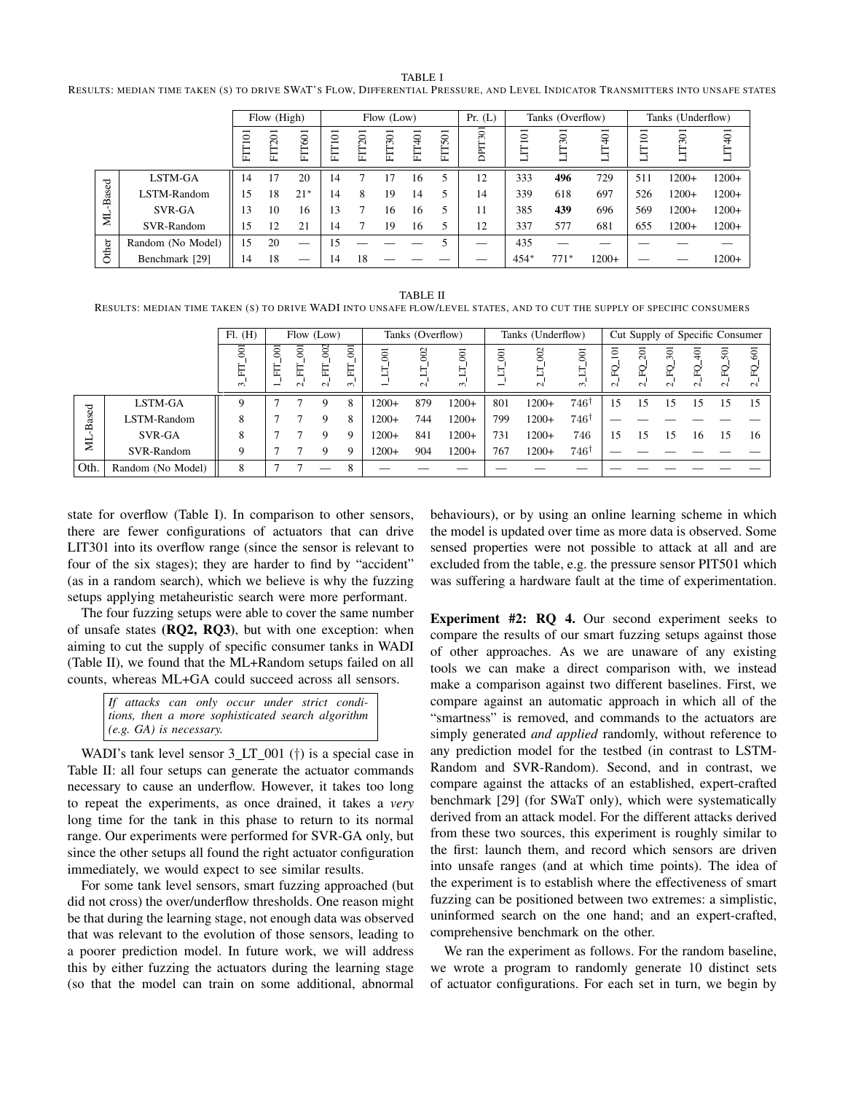TABLE I RESULTS: MEDIAN TIME TAKEN (S) TO DRIVE SWAT'S FLOW, DIFFERENTIAL PRESSURE, AND LEVEL INDICATOR TRANSMITTERS INTO UNSAFE STATES

|       |                   |         | Flow (High)   |        |            |               | Flow (Low)    |               |        | Pr. (L) |                | Tanks (Overflow) |            | Tanks (Underflow) |          |         |  |
|-------|-------------------|---------|---------------|--------|------------|---------------|---------------|---------------|--------|---------|----------------|------------------|------------|-------------------|----------|---------|--|
|       |                   | ≏<br>EH | <b>FIT201</b> | FIT601 | $\Xi$<br>Ë | <b>FIT201</b> | <b>FIT301</b> | <b>FIT401</b> | FIT501 | DPIT301 | $\overline{5}$ | 501<br>Ę<br>┙    | Л7401<br>⊣ | <b>IT101</b><br>⊣ | 501<br>Ę | LIT401  |  |
|       | LSTM-GA           | 14      | 17            | 20     | 14         |               |               | 16            | 5      | 12      | 333            | 496              | 729        | 511               | $1200+$  | $1200+$ |  |
| Based | LSTM-Random       | .5      | 18            | $21*$  | 14         | 8             | 19            | 14            | 5      | 14      | 339            | 618              | 697        | 526               | $1200+$  | $1200+$ |  |
|       | SVR-GA            | 13      | 10            | 16     | 13         |               | 16            | 16            | 5      | 11      | 385            | 439              | 696        | 569               | $1200+$  | $1200+$ |  |
| Ĕ     | SVR-Random        | 15      | 12            | 21     | 14         |               | 19            | 16            | 5      | 12      | 337            | 577              | 681        | 655               | $1200+$  | $1200+$ |  |
| Other | Random (No Model) | 15      | 20            | __     | 15         |               |               |               |        |         | 435            |                  |            |                   |          |         |  |
|       | Benchmark [29]    | 14      | 18            |        | 14         | 18            |               |               |        |         | $454*$         | $771*$           | $1200+$    |                   |          | $1200+$ |  |

TABLE II RESULTS: MEDIAN TIME TAKEN (S) TO DRIVE WADI INTO UNSAFE FLOW/LEVEL STATES, AND TO CUT THE SUPPLY OF SPECIFIC CONSUMERS

|       |                   | Fl. (H)<br>Flow (Low)         |                     |                              |                          |                    |                | Tanks (Overflow) |                               | Tanks (Underflow)   | Cut Supply of Specific Consumer |                                 |                                          |                            |                    |                                |                     |                    |
|-------|-------------------|-------------------------------|---------------------|------------------------------|--------------------------|--------------------|----------------|------------------|-------------------------------|---------------------|---------------------------------|---------------------------------|------------------------------------------|----------------------------|--------------------|--------------------------------|---------------------|--------------------|
|       |                   | $\overline{5}$<br>툐<br>$\sim$ | $\overline{5}$<br>E | $\bar{\rm s}$<br>Ë<br>$\sim$ | $\approx$<br>Ë<br>$\sim$ | 001<br>툐<br>$\sim$ | $\overline{5}$ | 8<br>$\sim$      | $\overline{0}$<br>н<br>$\sim$ | $\overline{0}$<br>⊢ | 002<br>Ë<br>$\sim$              | $\overline{0}$<br>Ë<br>$\infty$ | $\overline{101}$<br>q<br>$\mathbf{\sim}$ | $\overline{201}$<br>$\sim$ | 301<br>운<br>$\sim$ | $\overline{5}$<br>PO<br>$\sim$ | 501<br>5,<br>$\sim$ | 601<br>운<br>$\sim$ |
|       | LSTM-GA           | $\mathbf Q$                   |                     |                              | Q                        | 8                  | $1200+$        | 879              | $1200+$                       | 801                 | $1200+$                         | 7461                            | 15                                       | 15                         | 5                  |                                | 15                  | 15                 |
| Based | LSTM-Random       | 8                             |                     |                              | Q                        | 8                  | $1200+$        | 744              | $1200+$                       | 799                 | $1200+$                         | $746^{\dagger}$                 |                                          |                            |                    |                                |                     |                    |
|       | SVR-GA            | 8                             |                     |                              | Q                        | 9                  | $1200+$        | 841              | $1200+$                       | 731                 | $1200+$                         | 746                             | 15                                       | 15                         | .5                 | 16                             | 15                  | 16                 |
| ≣     | SVR-Random        | Q                             |                     |                              | 9                        | 9                  | $1200+$        | 904              | $1200+$                       | 767                 | $1200+$                         | $746^{\dagger}$                 |                                          |                            |                    |                                |                     |                    |
| Oth.  | Random (No Model) | 8                             |                     |                              |                          |                    |                |                  |                               |                     |                                 |                                 |                                          |                            |                    |                                |                     |                    |

state for overflow (Table I). In comparison to other sensors, there are fewer configurations of actuators that can drive LIT301 into its overflow range (since the sensor is relevant to four of the six stages); they are harder to find by "accident" (as in a random search), which we believe is why the fuzzing setups applying metaheuristic search were more performant.

The four fuzzing setups were able to cover the same number of unsafe states (RQ2, RQ3), but with one exception: when aiming to cut the supply of specific consumer tanks in WADI (Table II), we found that the ML+Random setups failed on all counts, whereas ML+GA could succeed across all sensors.

> *If attacks can only occur under strict conditions, then a more sophisticated search algorithm (e.g. GA) is necessary.*

WADI's tank level sensor  $3LT_001$  (†) is a special case in Table II: all four setups can generate the actuator commands necessary to cause an underflow. However, it takes too long to repeat the experiments, as once drained, it takes a *very* long time for the tank in this phase to return to its normal range. Our experiments were performed for SVR-GA only, but since the other setups all found the right actuator configuration immediately, we would expect to see similar results.

For some tank level sensors, smart fuzzing approached (but did not cross) the over/underflow thresholds. One reason might be that during the learning stage, not enough data was observed that was relevant to the evolution of those sensors, leading to a poorer prediction model. In future work, we will address this by either fuzzing the actuators during the learning stage (so that the model can train on some additional, abnormal

behaviours), or by using an online learning scheme in which the model is updated over time as more data is observed. Some sensed properties were not possible to attack at all and are excluded from the table, e.g. the pressure sensor PIT501 which was suffering a hardware fault at the time of experimentation.

Experiment #2: RQ 4. Our second experiment seeks to compare the results of our smart fuzzing setups against those of other approaches. As we are unaware of any existing tools we can make a direct comparison with, we instead make a comparison against two different baselines. First, we compare against an automatic approach in which all of the "smartness" is removed, and commands to the actuators are simply generated *and applied* randomly, without reference to any prediction model for the testbed (in contrast to LSTM-Random and SVR-Random). Second, and in contrast, we compare against the attacks of an established, expert-crafted benchmark [29] (for SWaT only), which were systematically derived from an attack model. For the different attacks derived from these two sources, this experiment is roughly similar to the first: launch them, and record which sensors are driven into unsafe ranges (and at which time points). The idea of the experiment is to establish where the effectiveness of smart fuzzing can be positioned between two extremes: a simplistic, uninformed search on the one hand; and an expert-crafted, comprehensive benchmark on the other.

We ran the experiment as follows. For the random baseline, we wrote a program to randomly generate 10 distinct sets of actuator configurations. For each set in turn, we begin by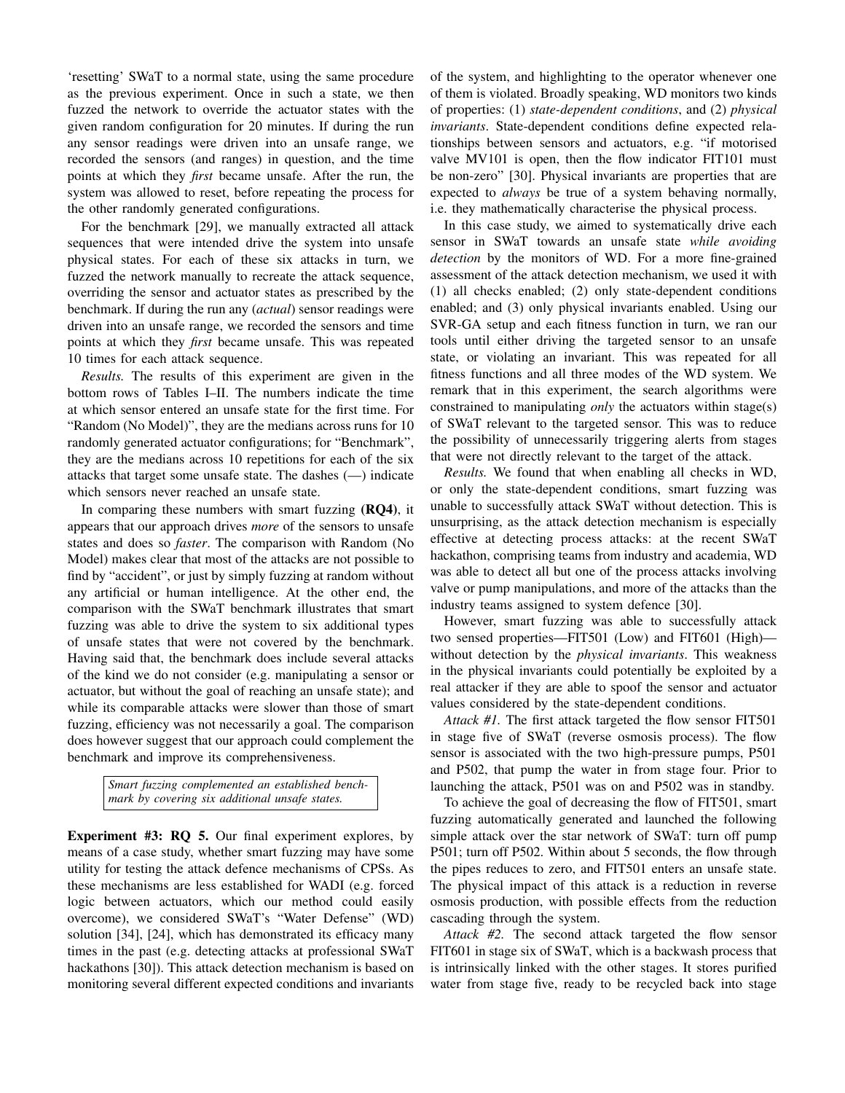'resetting' SWaT to a normal state, using the same procedure as the previous experiment. Once in such a state, we then fuzzed the network to override the actuator states with the given random configuration for 20 minutes. If during the run any sensor readings were driven into an unsafe range, we recorded the sensors (and ranges) in question, and the time points at which they *first* became unsafe. After the run, the system was allowed to reset, before repeating the process for the other randomly generated configurations.

For the benchmark [29], we manually extracted all attack sequences that were intended drive the system into unsafe physical states. For each of these six attacks in turn, we fuzzed the network manually to recreate the attack sequence, overriding the sensor and actuator states as prescribed by the benchmark. If during the run any (*actual*) sensor readings were driven into an unsafe range, we recorded the sensors and time points at which they *first* became unsafe. This was repeated 10 times for each attack sequence.

*Results.* The results of this experiment are given in the bottom rows of Tables I–II. The numbers indicate the time at which sensor entered an unsafe state for the first time. For "Random (No Model)", they are the medians across runs for 10 randomly generated actuator configurations; for "Benchmark", they are the medians across 10 repetitions for each of the six attacks that target some unsafe state. The dashes (—) indicate which sensors never reached an unsafe state.

In comparing these numbers with smart fuzzing (RQ4), it appears that our approach drives *more* of the sensors to unsafe states and does so *faster*. The comparison with Random (No Model) makes clear that most of the attacks are not possible to find by "accident", or just by simply fuzzing at random without any artificial or human intelligence. At the other end, the comparison with the SWaT benchmark illustrates that smart fuzzing was able to drive the system to six additional types of unsafe states that were not covered by the benchmark. Having said that, the benchmark does include several attacks of the kind we do not consider (e.g. manipulating a sensor or actuator, but without the goal of reaching an unsafe state); and while its comparable attacks were slower than those of smart fuzzing, efficiency was not necessarily a goal. The comparison does however suggest that our approach could complement the benchmark and improve its comprehensiveness.

> *Smart fuzzing complemented an established benchmark by covering six additional unsafe states.*

Experiment #3: RQ 5. Our final experiment explores, by means of a case study, whether smart fuzzing may have some utility for testing the attack defence mechanisms of CPSs. As these mechanisms are less established for WADI (e.g. forced logic between actuators, which our method could easily overcome), we considered SWaT's "Water Defense" (WD) solution [34], [24], which has demonstrated its efficacy many times in the past (e.g. detecting attacks at professional SWaT hackathons [30]). This attack detection mechanism is based on monitoring several different expected conditions and invariants of the system, and highlighting to the operator whenever one of them is violated. Broadly speaking, WD monitors two kinds of properties: (1) *state-dependent conditions*, and (2) *physical invariants*. State-dependent conditions define expected relationships between sensors and actuators, e.g. "if motorised valve MV101 is open, then the flow indicator FIT101 must be non-zero" [30]. Physical invariants are properties that are expected to *always* be true of a system behaving normally, i.e. they mathematically characterise the physical process.

In this case study, we aimed to systematically drive each sensor in SWaT towards an unsafe state *while avoiding detection* by the monitors of WD. For a more fine-grained assessment of the attack detection mechanism, we used it with (1) all checks enabled; (2) only state-dependent conditions enabled; and (3) only physical invariants enabled. Using our SVR-GA setup and each fitness function in turn, we ran our tools until either driving the targeted sensor to an unsafe state, or violating an invariant. This was repeated for all fitness functions and all three modes of the WD system. We remark that in this experiment, the search algorithms were constrained to manipulating *only* the actuators within stage(s) of SWaT relevant to the targeted sensor. This was to reduce the possibility of unnecessarily triggering alerts from stages that were not directly relevant to the target of the attack.

*Results.* We found that when enabling all checks in WD, or only the state-dependent conditions, smart fuzzing was unable to successfully attack SWaT without detection. This is unsurprising, as the attack detection mechanism is especially effective at detecting process attacks: at the recent SWaT hackathon, comprising teams from industry and academia, WD was able to detect all but one of the process attacks involving valve or pump manipulations, and more of the attacks than the industry teams assigned to system defence [30].

However, smart fuzzing was able to successfully attack two sensed properties—FIT501 (Low) and FIT601 (High) without detection by the *physical invariants*. This weakness in the physical invariants could potentially be exploited by a real attacker if they are able to spoof the sensor and actuator values considered by the state-dependent conditions.

*Attack #1.* The first attack targeted the flow sensor FIT501 in stage five of SWaT (reverse osmosis process). The flow sensor is associated with the two high-pressure pumps, P501 and P502, that pump the water in from stage four. Prior to launching the attack, P501 was on and P502 was in standby.

To achieve the goal of decreasing the flow of FIT501, smart fuzzing automatically generated and launched the following simple attack over the star network of SWaT: turn off pump P501; turn off P502. Within about 5 seconds, the flow through the pipes reduces to zero, and FIT501 enters an unsafe state. The physical impact of this attack is a reduction in reverse osmosis production, with possible effects from the reduction cascading through the system.

*Attack #2.* The second attack targeted the flow sensor FIT601 in stage six of SWaT, which is a backwash process that is intrinsically linked with the other stages. It stores purified water from stage five, ready to be recycled back into stage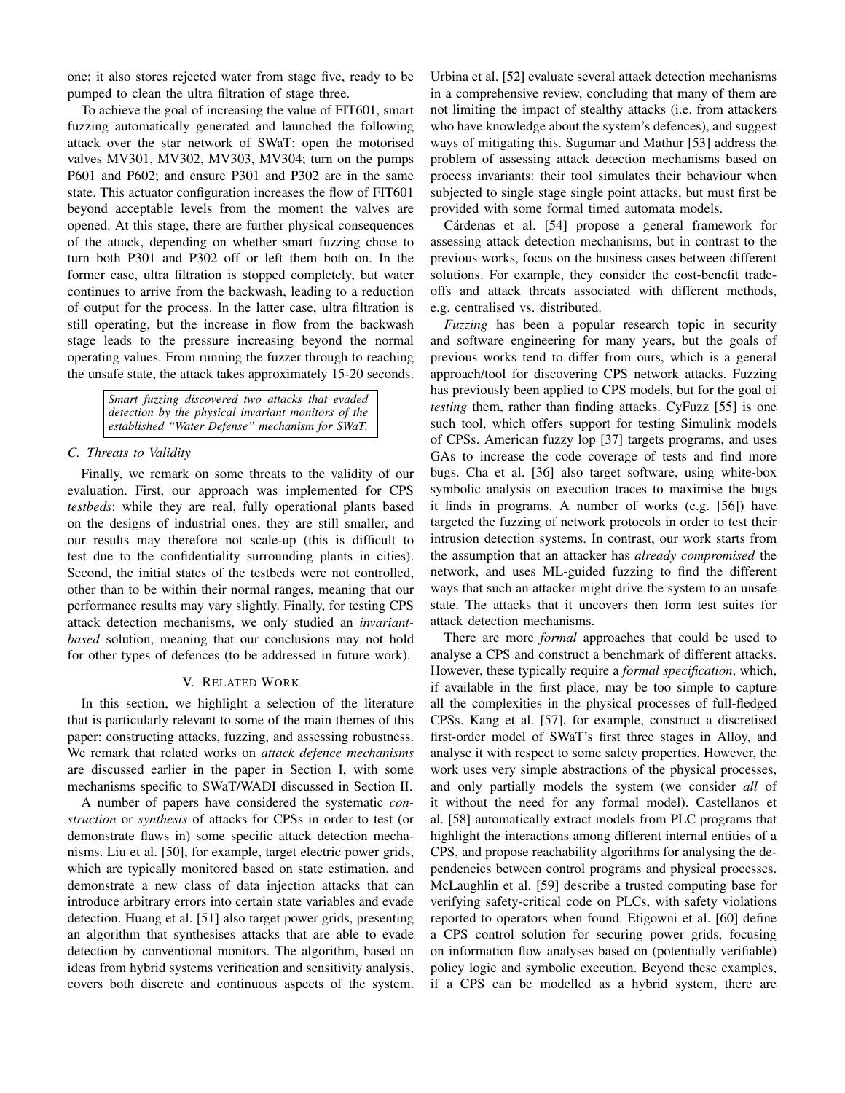one; it also stores rejected water from stage five, ready to be pumped to clean the ultra filtration of stage three.

To achieve the goal of increasing the value of FIT601, smart fuzzing automatically generated and launched the following attack over the star network of SWaT: open the motorised valves MV301, MV302, MV303, MV304; turn on the pumps P601 and P602; and ensure P301 and P302 are in the same state. This actuator configuration increases the flow of FIT601 beyond acceptable levels from the moment the valves are opened. At this stage, there are further physical consequences of the attack, depending on whether smart fuzzing chose to turn both P301 and P302 off or left them both on. In the former case, ultra filtration is stopped completely, but water continues to arrive from the backwash, leading to a reduction of output for the process. In the latter case, ultra filtration is still operating, but the increase in flow from the backwash stage leads to the pressure increasing beyond the normal operating values. From running the fuzzer through to reaching the unsafe state, the attack takes approximately 15-20 seconds.

> *Smart fuzzing discovered two attacks that evaded detection by the physical invariant monitors of the established "Water Defense" mechanism for SWaT.*

## *C. Threats to Validity*

Finally, we remark on some threats to the validity of our evaluation. First, our approach was implemented for CPS *testbeds*: while they are real, fully operational plants based on the designs of industrial ones, they are still smaller, and our results may therefore not scale-up (this is difficult to test due to the confidentiality surrounding plants in cities). Second, the initial states of the testbeds were not controlled, other than to be within their normal ranges, meaning that our performance results may vary slightly. Finally, for testing CPS attack detection mechanisms, we only studied an *invariantbased* solution, meaning that our conclusions may not hold for other types of defences (to be addressed in future work).

# V. RELATED WORK

In this section, we highlight a selection of the literature that is particularly relevant to some of the main themes of this paper: constructing attacks, fuzzing, and assessing robustness. We remark that related works on *attack defence mechanisms* are discussed earlier in the paper in Section I, with some mechanisms specific to SWaT/WADI discussed in Section II.

A number of papers have considered the systematic *construction* or *synthesis* of attacks for CPSs in order to test (or demonstrate flaws in) some specific attack detection mechanisms. Liu et al. [50], for example, target electric power grids, which are typically monitored based on state estimation, and demonstrate a new class of data injection attacks that can introduce arbitrary errors into certain state variables and evade detection. Huang et al. [51] also target power grids, presenting an algorithm that synthesises attacks that are able to evade detection by conventional monitors. The algorithm, based on ideas from hybrid systems verification and sensitivity analysis, covers both discrete and continuous aspects of the system. Urbina et al. [52] evaluate several attack detection mechanisms in a comprehensive review, concluding that many of them are not limiting the impact of stealthy attacks (i.e. from attackers who have knowledge about the system's defences), and suggest ways of mitigating this. Sugumar and Mathur [53] address the problem of assessing attack detection mechanisms based on process invariants: their tool simulates their behaviour when subjected to single stage single point attacks, but must first be provided with some formal timed automata models.

Cárdenas et al. [54] propose a general framework for assessing attack detection mechanisms, but in contrast to the previous works, focus on the business cases between different solutions. For example, they consider the cost-benefit tradeoffs and attack threats associated with different methods, e.g. centralised vs. distributed.

*Fuzzing* has been a popular research topic in security and software engineering for many years, but the goals of previous works tend to differ from ours, which is a general approach/tool for discovering CPS network attacks. Fuzzing has previously been applied to CPS models, but for the goal of *testing* them, rather than finding attacks. CyFuzz [55] is one such tool, which offers support for testing Simulink models of CPSs. American fuzzy lop [37] targets programs, and uses GAs to increase the code coverage of tests and find more bugs. Cha et al. [36] also target software, using white-box symbolic analysis on execution traces to maximise the bugs it finds in programs. A number of works (e.g. [56]) have targeted the fuzzing of network protocols in order to test their intrusion detection systems. In contrast, our work starts from the assumption that an attacker has *already compromised* the network, and uses ML-guided fuzzing to find the different ways that such an attacker might drive the system to an unsafe state. The attacks that it uncovers then form test suites for attack detection mechanisms.

There are more *formal* approaches that could be used to analyse a CPS and construct a benchmark of different attacks. However, these typically require a *formal specification*, which, if available in the first place, may be too simple to capture all the complexities in the physical processes of full-fledged CPSs. Kang et al. [57], for example, construct a discretised first-order model of SWaT's first three stages in Alloy, and analyse it with respect to some safety properties. However, the work uses very simple abstractions of the physical processes, and only partially models the system (we consider *all* of it without the need for any formal model). Castellanos et al. [58] automatically extract models from PLC programs that highlight the interactions among different internal entities of a CPS, and propose reachability algorithms for analysing the dependencies between control programs and physical processes. McLaughlin et al. [59] describe a trusted computing base for verifying safety-critical code on PLCs, with safety violations reported to operators when found. Etigowni et al. [60] define a CPS control solution for securing power grids, focusing on information flow analyses based on (potentially verifiable) policy logic and symbolic execution. Beyond these examples, if a CPS can be modelled as a hybrid system, there are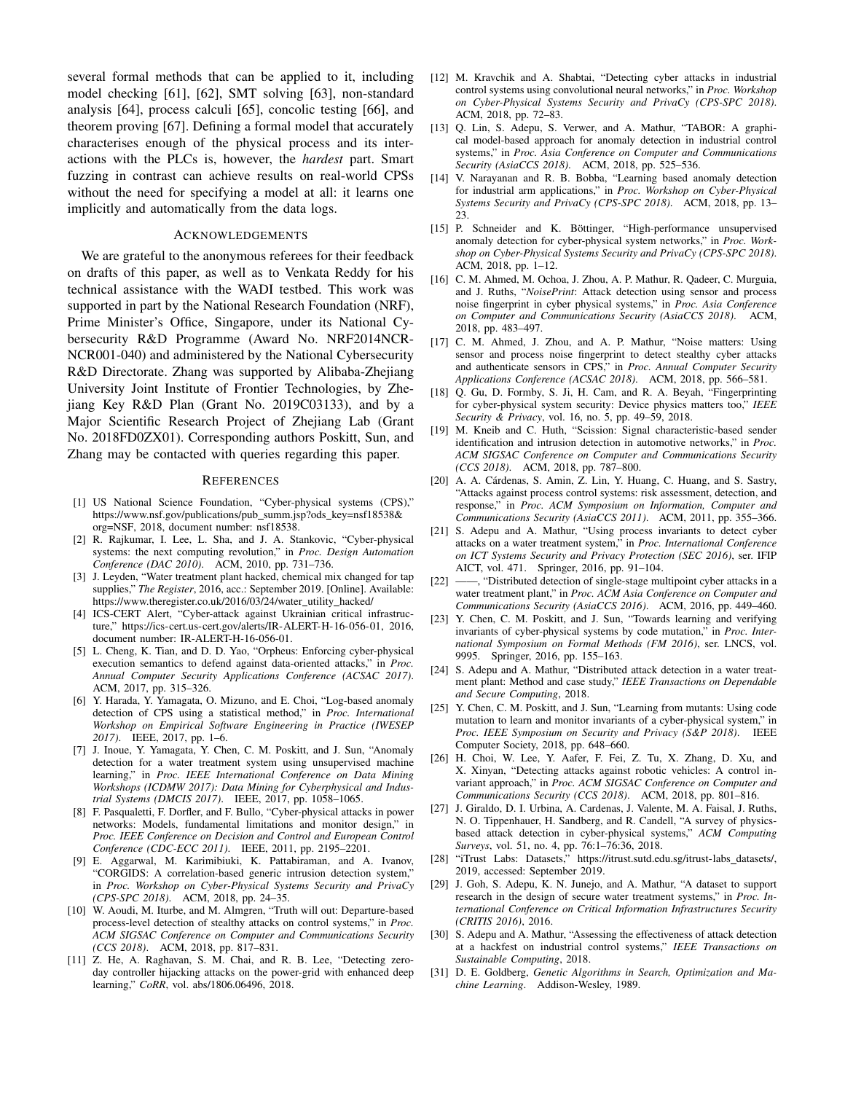several formal methods that can be applied to it, including model checking [61], [62], SMT solving [63], non-standard analysis [64], process calculi [65], concolic testing [66], and theorem proving [67]. Defining a formal model that accurately characterises enough of the physical process and its interactions with the PLCs is, however, the *hardest* part. Smart fuzzing in contrast can achieve results on real-world CPSs without the need for specifying a model at all: it learns one implicitly and automatically from the data logs.

#### ACKNOWLEDGEMENTS

We are grateful to the anonymous referees for their feedback on drafts of this paper, as well as to Venkata Reddy for his technical assistance with the WADI testbed. This work was supported in part by the National Research Foundation (NRF), Prime Minister's Office, Singapore, under its National Cybersecurity R&D Programme (Award No. NRF2014NCR-NCR001-040) and administered by the National Cybersecurity R&D Directorate. Zhang was supported by Alibaba-Zhejiang University Joint Institute of Frontier Technologies, by Zhejiang Key R&D Plan (Grant No. 2019C03133), and by a Major Scientific Research Project of Zhejiang Lab (Grant No. 2018FD0ZX01). Corresponding authors Poskitt, Sun, and Zhang may be contacted with queries regarding this paper.

#### **REFERENCES**

- [1] US National Science Foundation, "Cyber-physical systems (CPS)," https://www.nsf.gov/publications/pub\_summ.jsp?ods\_key=nsf18538& org=NSF, 2018, document number: nsf18538.
- [2] R. Rajkumar, I. Lee, L. Sha, and J. A. Stankovic, "Cyber-physical systems: the next computing revolution," in *Proc. Design Automation Conference (DAC 2010)*. ACM, 2010, pp. 731–736.
- [3] J. Leyden, "Water treatment plant hacked, chemical mix changed for tap supplies," *The Register*, 2016, acc.: September 2019. [Online]. Available: https://www.theregister.co.uk/2016/03/24/water\_utility\_hacked/
- [4] ICS-CERT Alert, "Cyber-attack against Ukrainian critical infrastructure," https://ics-cert.us-cert.gov/alerts/IR-ALERT-H-16-056-01, 2016, document number: IR-ALERT-H-16-056-01.
- [5] L. Cheng, K. Tian, and D. D. Yao, "Orpheus: Enforcing cyber-physical execution semantics to defend against data-oriented attacks," in *Proc. Annual Computer Security Applications Conference (ACSAC 2017)*. ACM, 2017, pp. 315–326.
- [6] Y. Harada, Y. Yamagata, O. Mizuno, and E. Choi, "Log-based anomaly detection of CPS using a statistical method," in *Proc. International Workshop on Empirical Software Engineering in Practice (IWESEP 2017)*. IEEE, 2017, pp. 1–6.
- [7] J. Inoue, Y. Yamagata, Y. Chen, C. M. Poskitt, and J. Sun, "Anomaly detection for a water treatment system using unsupervised machine learning," in *Proc. IEEE International Conference on Data Mining Workshops (ICDMW 2017): Data Mining for Cyberphysical and Industrial Systems (DMCIS 2017)*. IEEE, 2017, pp. 1058–1065.
- [8] F. Pasqualetti, F. Dorfler, and F. Bullo, "Cyber-physical attacks in power networks: Models, fundamental limitations and monitor design," in *Proc. IEEE Conference on Decision and Control and European Control Conference (CDC-ECC 2011)*. IEEE, 2011, pp. 2195–2201.
- [9] E. Aggarwal, M. Karimibiuki, K. Pattabiraman, and A. Ivanov, "CORGIDS: A correlation-based generic intrusion detection system," in *Proc. Workshop on Cyber-Physical Systems Security and PrivaCy (CPS-SPC 2018)*. ACM, 2018, pp. 24–35.
- [10] W. Aoudi, M. Iturbe, and M. Almgren, "Truth will out: Departure-based process-level detection of stealthy attacks on control systems," in *Proc. ACM SIGSAC Conference on Computer and Communications Security (CCS 2018)*. ACM, 2018, pp. 817–831.
- [11] Z. He, A. Raghavan, S. M. Chai, and R. B. Lee, "Detecting zeroday controller hijacking attacks on the power-grid with enhanced deep learning," *CoRR*, vol. abs/1806.06496, 2018.
- [12] M. Kravchik and A. Shabtai, "Detecting cyber attacks in industrial control systems using convolutional neural networks," in *Proc. Workshop on Cyber-Physical Systems Security and PrivaCy (CPS-SPC 2018)*. ACM, 2018, pp. 72–83.
- [13] Q. Lin, S. Adepu, S. Verwer, and A. Mathur, "TABOR: A graphical model-based approach for anomaly detection in industrial control systems," in *Proc. Asia Conference on Computer and Communications Security (AsiaCCS 2018)*. ACM, 2018, pp. 525–536.
- [14] V. Narayanan and R. B. Bobba, "Learning based anomaly detection for industrial arm applications," in *Proc. Workshop on Cyber-Physical Systems Security and PrivaCy (CPS-SPC 2018)*. ACM, 2018, pp. 13– 23.
- [15] P. Schneider and K. Böttinger, "High-performance unsupervised anomaly detection for cyber-physical system networks," in *Proc. Workshop on Cyber-Physical Systems Security and PrivaCy (CPS-SPC 2018)*. ACM, 2018, pp. 1–12.
- [16] C. M. Ahmed, M. Ochoa, J. Zhou, A. P. Mathur, R. Qadeer, C. Murguia, and J. Ruths, "*NoisePrint*: Attack detection using sensor and process noise fingerprint in cyber physical systems," in *Proc. Asia Conference on Computer and Communications Security (AsiaCCS 2018)*. ACM, 2018, pp. 483–497.
- [17] C. M. Ahmed, J. Zhou, and A. P. Mathur, "Noise matters: Using sensor and process noise fingerprint to detect stealthy cyber attacks and authenticate sensors in CPS," in *Proc. Annual Computer Security Applications Conference (ACSAC 2018)*. ACM, 2018, pp. 566–581.
- [18] Q. Gu, D. Formby, S. Ji, H. Cam, and R. A. Beyah, "Fingerprinting for cyber-physical system security: Device physics matters too," *IEEE Security & Privacy*, vol. 16, no. 5, pp. 49–59, 2018.
- [19] M. Kneib and C. Huth, "Scission: Signal characteristic-based sender identification and intrusion detection in automotive networks," in *Proc. ACM SIGSAC Conference on Computer and Communications Security (CCS 2018)*. ACM, 2018, pp. 787–800.
- [20] A. A. Cárdenas, S. Amin, Z. Lin, Y. Huang, C. Huang, and S. Sastry, "Attacks against process control systems: risk assessment, detection, and response," in *Proc. ACM Symposium on Information, Computer and Communications Security (AsiaCCS 2011)*. ACM, 2011, pp. 355–366.
- [21] S. Adepu and A. Mathur, "Using process invariants to detect cyber attacks on a water treatment system," in *Proc. International Conference on ICT Systems Security and Privacy Protection (SEC 2016)*, ser. IFIP AICT, vol. 471. Springer, 2016, pp. 91–104.
- [22] ——, "Distributed detection of single-stage multipoint cyber attacks in a water treatment plant," in *Proc. ACM Asia Conference on Computer and Communications Security (AsiaCCS 2016)*. ACM, 2016, pp. 449–460.
- [23] Y. Chen, C. M. Poskitt, and J. Sun, "Towards learning and verifying invariants of cyber-physical systems by code mutation," in *Proc. International Symposium on Formal Methods (FM 2016)*, ser. LNCS, vol. 9995. Springer, 2016, pp. 155–163.
- [24] S. Adepu and A. Mathur, "Distributed attack detection in a water treatment plant: Method and case study," *IEEE Transactions on Dependable and Secure Computing*, 2018.
- [25] Y. Chen, C. M. Poskitt, and J. Sun, "Learning from mutants: Using code mutation to learn and monitor invariants of a cyber-physical system," in *Proc. IEEE Symposium on Security and Privacy (S&P 2018)*. IEEE Computer Society, 2018, pp. 648–660.
- [26] H. Choi, W. Lee, Y. Aafer, F. Fei, Z. Tu, X. Zhang, D. Xu, and X. Xinyan, "Detecting attacks against robotic vehicles: A control invariant approach," in *Proc. ACM SIGSAC Conference on Computer and Communications Security (CCS 2018)*. ACM, 2018, pp. 801–816.
- [27] J. Giraldo, D. I. Urbina, A. Cardenas, J. Valente, M. A. Faisal, J. Ruths, N. O. Tippenhauer, H. Sandberg, and R. Candell, "A survey of physicsbased attack detection in cyber-physical systems," *ACM Computing Surveys*, vol. 51, no. 4, pp. 76:1–76:36, 2018.
- [28] "iTrust Labs: Datasets," https://itrust.sutd.edu.sg/itrust-labs\_datasets/, 2019, accessed: September 2019.
- [29] J. Goh, S. Adepu, K. N. Junejo, and A. Mathur, "A dataset to support research in the design of secure water treatment systems," in *Proc. International Conference on Critical Information Infrastructures Security (CRITIS 2016)*, 2016.
- [30] S. Adepu and A. Mathur, "Assessing the effectiveness of attack detection at a hackfest on industrial control systems," *IEEE Transactions on Sustainable Computing*, 2018.
- [31] D. E. Goldberg, *Genetic Algorithms in Search, Optimization and Machine Learning*. Addison-Wesley, 1989.